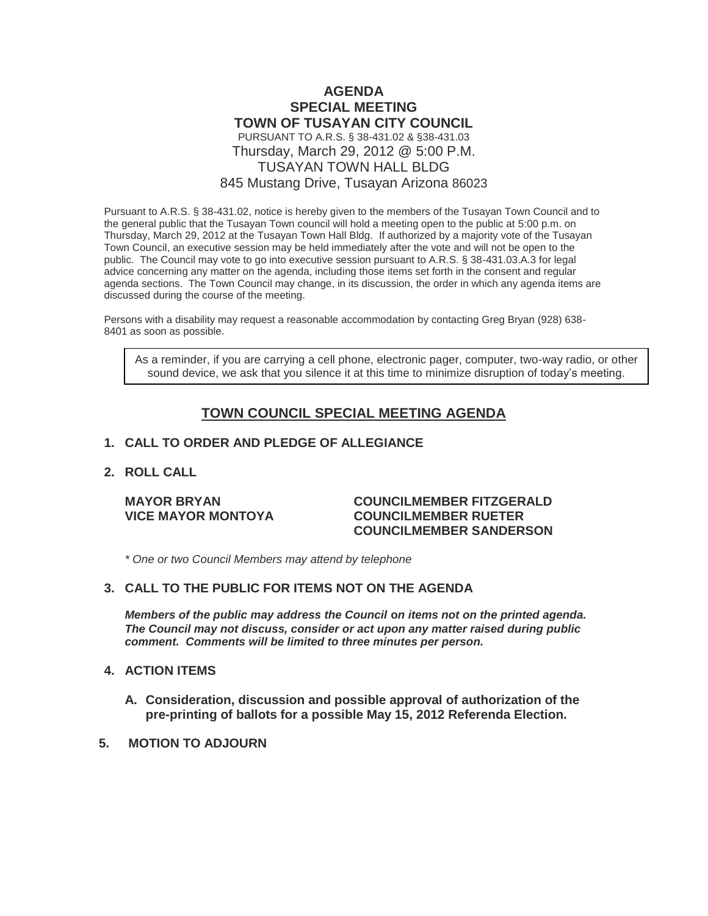# **AGENDA SPECIAL MEETING TOWN OF TUSAYAN CITY COUNCIL** PURSUANT TO A.R.S. § 38-431.02 & §38-431.03 Thursday, March 29, 2012 @ 5:00 P.M. TUSAYAN TOWN HALL BLDG 845 Mustang Drive, Tusayan Arizona 86023

Pursuant to A.R.S. § 38-431.02, notice is hereby given to the members of the Tusayan Town Council and to the general public that the Tusayan Town council will hold a meeting open to the public at 5:00 p.m. on Thursday, March 29, 2012 at the Tusayan Town Hall Bldg. If authorized by a majority vote of the Tusayan Town Council, an executive session may be held immediately after the vote and will not be open to the public. The Council may vote to go into executive session pursuant to A.R.S. § 38-431.03.A.3 for legal advice concerning any matter on the agenda, including those items set forth in the consent and regular agenda sections. The Town Council may change, in its discussion, the order in which any agenda items are discussed during the course of the meeting.

Persons with a disability may request a reasonable accommodation by contacting Greg Bryan (928) 638- 8401 as soon as possible.

As a reminder, if you are carrying a cell phone, electronic pager, computer, two-way radio, or other sound device, we ask that you silence it at this time to minimize disruption of today's meeting.

# **TOWN COUNCIL SPECIAL MEETING AGENDA**

### **1. CALL TO ORDER AND PLEDGE OF ALLEGIANCE**

### **2. ROLL CALL**

### **MAYOR BRYAN COUNCILMEMBER FITZGERALD VICE MAYOR MONTOYA COUNCILMEMBER RUETER COUNCILMEMBER SANDERSON**

*\* One or two Council Members may attend by telephone*

## **3. CALL TO THE PUBLIC FOR ITEMS NOT ON THE AGENDA**

*Members of the public may address the Council* **o***n items not on the printed agenda. The Council may not discuss, consider or act upon any matter raised during public comment. Comments will be limited to three minutes per person.*

### **4. ACTION ITEMS**

- **A. Consideration, discussion and possible approval of authorization of the pre-printing of ballots for a possible May 15, 2012 Referenda Election.**
- **5. MOTION TO ADJOURN**